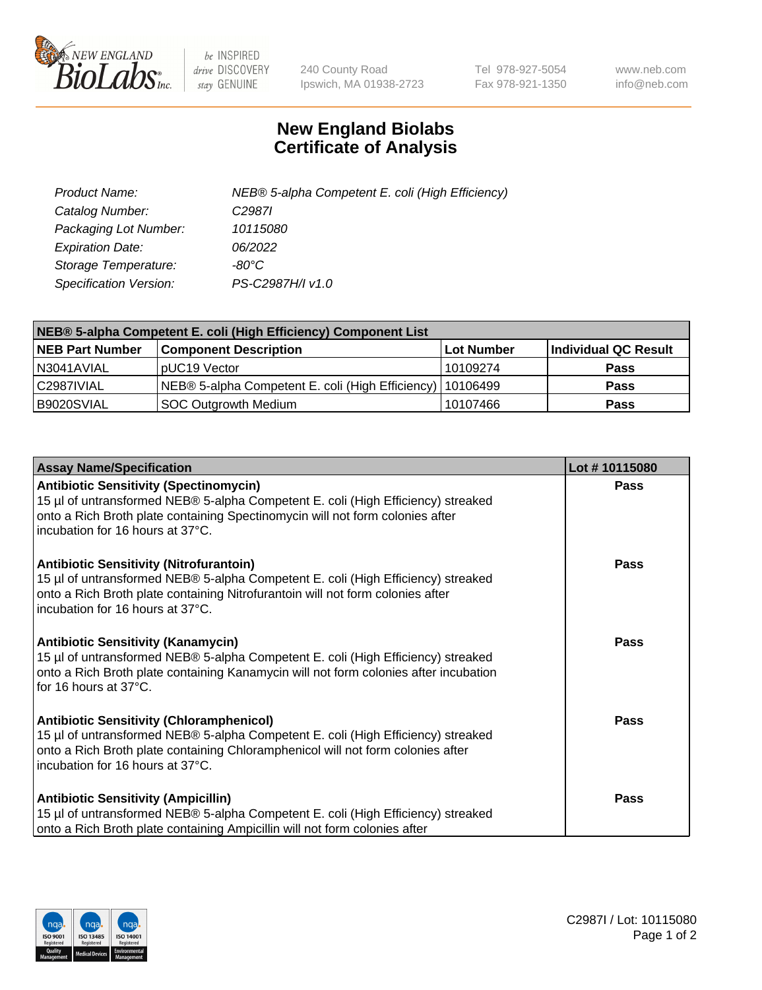

 $be$  INSPIRED drive DISCOVERY stay GENUINE

240 County Road Ipswich, MA 01938-2723 Tel 978-927-5054 Fax 978-921-1350 www.neb.com info@neb.com

## **New England Biolabs Certificate of Analysis**

| Product Name:           | NEB® 5-alpha Competent E. coli (High Efficiency) |
|-------------------------|--------------------------------------------------|
| Catalog Number:         | C <sub>2987</sub>                                |
| Packaging Lot Number:   | 10115080                                         |
| <b>Expiration Date:</b> | 06/2022                                          |
| Storage Temperature:    | -80°C                                            |
| Specification Version:  | PS-C2987H/I v1.0                                 |

| NEB® 5-alpha Competent E. coli (High Efficiency) Component List |                                                             |            |                      |  |
|-----------------------------------------------------------------|-------------------------------------------------------------|------------|----------------------|--|
| <b>NEB Part Number</b>                                          | <b>Component Description</b>                                | Lot Number | Individual QC Result |  |
| N3041AVIAL                                                      | pUC19 Vector                                                | 10109274   | <b>Pass</b>          |  |
| C2987IVIAL                                                      | NEB® 5-alpha Competent E. coli (High Efficiency)   10106499 |            | <b>Pass</b>          |  |
| B9020SVIAL                                                      | SOC Outgrowth Medium                                        | 10107466   | <b>Pass</b>          |  |

| <b>Assay Name/Specification</b>                                                                                                                                                                                                                            | Lot #10115080 |
|------------------------------------------------------------------------------------------------------------------------------------------------------------------------------------------------------------------------------------------------------------|---------------|
| <b>Antibiotic Sensitivity (Spectinomycin)</b><br>15 µl of untransformed NEB® 5-alpha Competent E. coli (High Efficiency) streaked<br>onto a Rich Broth plate containing Spectinomycin will not form colonies after<br>incubation for 16 hours at 37°C.     | <b>Pass</b>   |
| <b>Antibiotic Sensitivity (Nitrofurantoin)</b><br>15 µl of untransformed NEB® 5-alpha Competent E. coli (High Efficiency) streaked<br>onto a Rich Broth plate containing Nitrofurantoin will not form colonies after<br>incubation for 16 hours at 37°C.   | Pass          |
| <b>Antibiotic Sensitivity (Kanamycin)</b><br>15 µl of untransformed NEB® 5-alpha Competent E. coli (High Efficiency) streaked<br>onto a Rich Broth plate containing Kanamycin will not form colonies after incubation<br>for 16 hours at 37°C.             | <b>Pass</b>   |
| <b>Antibiotic Sensitivity (Chloramphenicol)</b><br>15 µl of untransformed NEB® 5-alpha Competent E. coli (High Efficiency) streaked<br>onto a Rich Broth plate containing Chloramphenicol will not form colonies after<br>incubation for 16 hours at 37°C. | <b>Pass</b>   |
| <b>Antibiotic Sensitivity (Ampicillin)</b><br>15 µl of untransformed NEB® 5-alpha Competent E. coli (High Efficiency) streaked<br>onto a Rich Broth plate containing Ampicillin will not form colonies after                                               | Pass          |